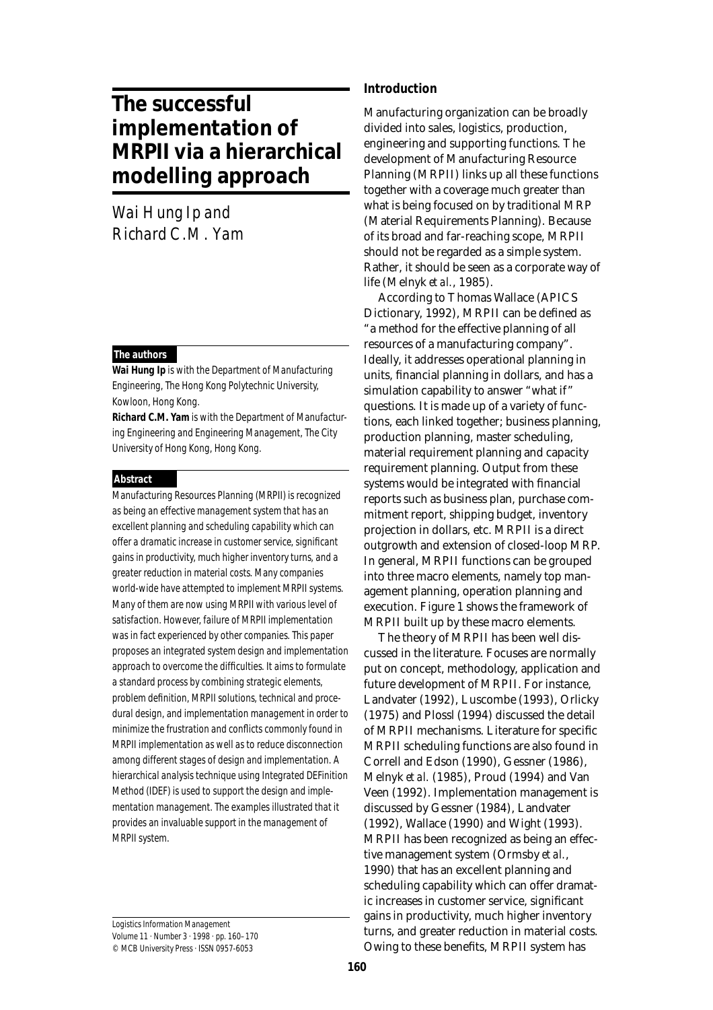# **The successful implementation of MRPII via a hierarchical modelling approach**

*Wai Hung Ip and Richard C.M. Yam*

### **The authors**

**Wai Hung Ip** is with the Department of Manufacturing Engineering, The Hong Kong Polytechnic University, Kowloon, Hong Kong.

**Richard C.M. Yam** is with the Department of Manufacturing Engineering and Engineering Management, The City University of Hong Kong, Hong Kong.

### **Abstract**

Manufacturing Resources Planning (MRPII) is recognized as being an effective management system that has an excellent planning and scheduling capability which can offer a dramatic increase in customer service, significant gains in productivity, much higher inventory turns, and a greater reduction in material costs. Many companies world-wide have attempted to implement MRPII systems. Many of them are now using MRPII with various level of satisfaction. However, failure of MRPII implementation was in fact experienced by other companies. This paper proposes an integrated system design and implementation approach to overcome the difficulties. It aims to formulate a standard process by combining strategic elements, problem definition, MRPII solutions, technical and procedural design, and implementation management in order to minimize the frustration and conflicts commonly found in MRPII implementation as well as to reduce disconnection among different stages of design and implementation. A hierarchical analysis technique using Integrated DEFinition Method (IDEF) is used to support the design and implementation management. The examples illustrated that it provides an invaluable support in the management of MRPII system.

Logistics Information Management Volume 11 · Number 3 · 1998 · pp. 160–170 © MCB University Press · ISSN 0957-6053

### **Introduction**

Manufacturing organization can be broadly divided into sales, logistics, production, engineering and supporting functions. The development of Manufacturing Resource Planning (MRPII) links up all these functions together with a coverage much greater than what is being focused on by traditional MRP (Material Requirements Planning). Because of its broad and far-reaching scope, MRPII should not be regarded as a simple system. Rather, it should be seen as a corporate way of life (Melnyk *et al.*, 1985).

According to Thomas Wallace (APICS Dictionary, 1992), MRPII can be defined as "a method for the effective planning of all resources of a manufacturing company". Ideally, it addresses operational planning in units, financial planning in dollars, and has a simulation capability to answer "what if" questions. It is made up of a variety of functions, each linked together; business planning, production planning, master scheduling, material requirement planning and capacity requirement planning. Output from these systems would be integrated with financial reports such as business plan, purchase commitment report, shipping budget, inventory projection in dollars, etc. MRPII is a direct outgrowth and extension of closed-loop MRP. In general, MRPII functions can be grouped into three macro elements, namely top management planning, operation planning and execution. Figure 1 shows the framework of MRPII built up by these macro elements.

The theory of MRPII has been well discussed in the literature. Focuses are normally put on concept, methodology, application and future development of MRPII. For instance, Landvater (1992), Luscombe (1993), Orlicky (1975) and Plossl (1994) discussed the detail of MRPII mechanisms. Literature for specific MRPII scheduling functions are also found in Correll and Edson (1990), Gessner (1986), Melnyk *et al.* (1985), Proud (1994) and Van Veen (1992). Implementation management is discussed by Gessner (1984), Landvater (1992), Wallace (1990) and Wight (1993). MRPII has been recognized as being an effective management system (Ormsby *et al.*, 1990) that has an excellent planning and scheduling capability which can offer dramatic increases in customer service, significant gains in productivity, much higher inventory turns, and greater reduction in material costs. Owing to these benefits, MRPII system has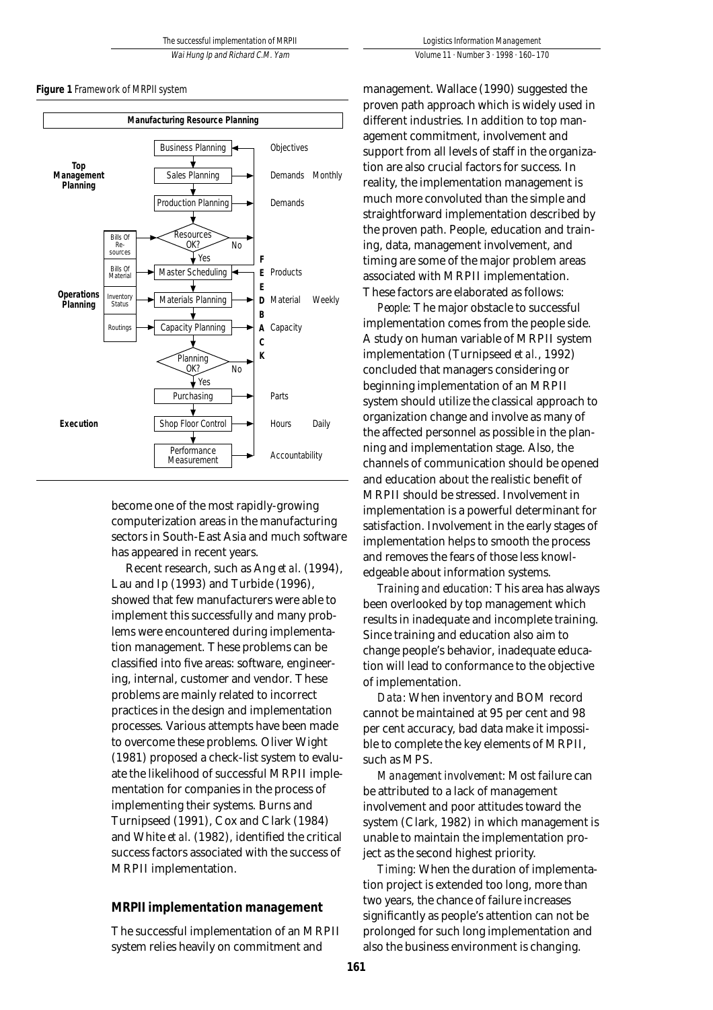#### **Figure 1** Framework of MRPII system



become one of the most rapidly-growing computerization areas in the manufacturing sectors in South-East Asia and much software has appeared in recent years.

Recent research, such as Ang *et al*. (1994), Lau and Ip (1993) and Turbide (1996), showed that few manufacturers were able to implement this successfully and many problems were encountered during implementation management. These problems can be classified into five areas: software, engineering, internal, customer and vendor. These problems are mainly related to incorrect practices in the design and implementation processes. Various attempts have been made to overcome these problems. Oliver Wight (1981) proposed a check-list system to evaluate the likelihood of successful MRPII implementation for companies in the process of implementing their systems. Burns and Turnipseed (1991), Cox and Clark (1984) and White *et al*. (1982), identified the critical success factors associated with the success of MRPII implementation.

### **MRPII implementation management**

The successful implementation of an MRPII system relies heavily on commitment and

Volume 11 · Number 3 · 1998 · 160–170

management. Wallace (1990) suggested the proven path approach which is widely used in different industries. In addition to top management commitment, involvement and support from all levels of staff in the organization are also crucial factors for success. In reality, the implementation management is much more convoluted than the simple and straightforward implementation described by the proven path. People, education and training, data, management involvement, and timing are some of the major problem areas associated with MRPII implementation. These factors are elaborated as follows:

*People*: The major obstacle to successful implementation comes from the people side. A study on human variable of MRPII system implementation (Turnipseed *et al.*, 1992) concluded that managers considering or beginning implementation of an MRPII system should utilize the classical approach to organization change and involve as many of the affected personnel as possible in the planning and implementation stage. Also, the channels of communication should be opened and education about the realistic benefit of MRPII should be stressed. Involvement in implementation is a powerful determinant for satisfaction. Involvement in the early stages of implementation helps to smooth the process and removes the fears of those less knowledgeable about information systems.

*Training and education*: This area has always been overlooked by top management which results in inadequate and incomplete training. Since training and education also aim to change people's behavior, inadequate education will lead to conformance to the objective of implementation.

*Data*: When inventory and BOM record cannot be maintained at 95 per cent and 98 per cent accuracy, bad data make it impossible to complete the key elements of MRPII, such as MPS.

*Management involvement*: Most failure can be attributed to a lack of management involvement and poor attitudes toward the system (Clark, 1982) in which management is unable to maintain the implementation project as the second highest priority.

*Timing*: When the duration of implementation project is extended too long, more than two years, the chance of failure increases significantly as people's attention can not be prolonged for such long implementation and also the business environment is changing.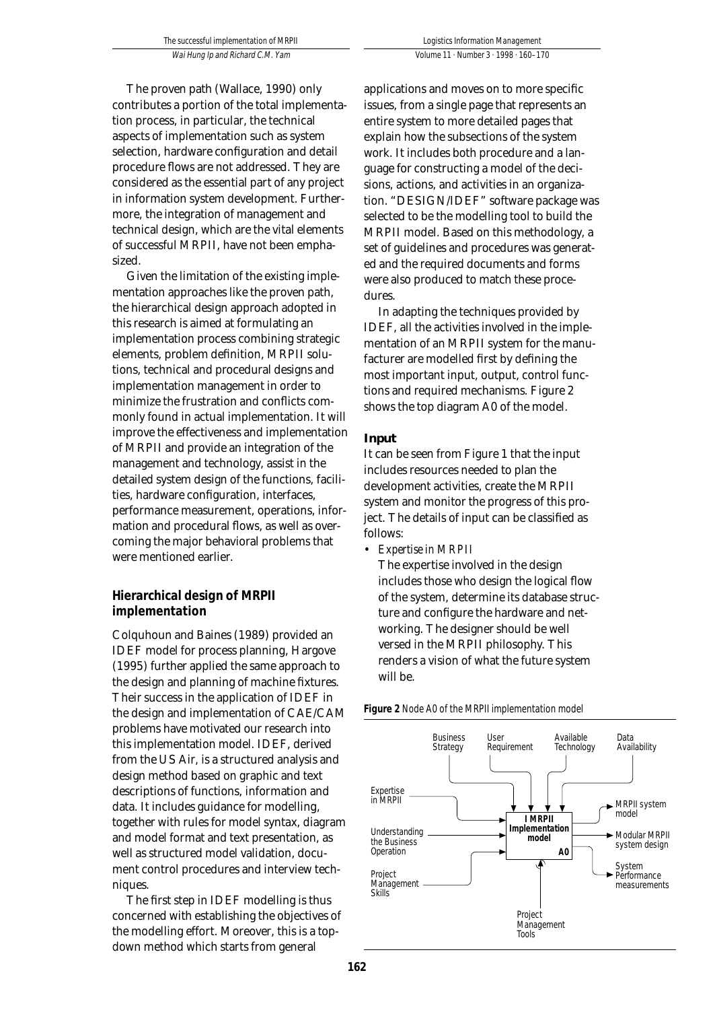The proven path (Wallace, 1990) only contributes a portion of the total implementation process, in particular, the technical aspects of implementation such as system selection, hardware configuration and detail procedure flows are not addressed. They are considered as the essential part of any project in information system development. Furthermore, the integration of management and technical design, which are the vital elements of successful MRPII, have not been emphasized.

Given the limitation of the existing implementation approaches like the proven path, the hierarchical design approach adopted in this research is aimed at formulating an implementation process combining strategic elements, problem definition, MRPII solutions, technical and procedural designs and implementation management in order to minimize the frustration and conflicts commonly found in actual implementation. It will improve the effectiveness and implementation of MRPII and provide an integration of the management and technology, assist in the detailed system design of the functions, facilities, hardware configuration, interfaces, performance measurement, operations, information and procedural flows, as well as overcoming the major behavioral problems that were mentioned earlier.

# **Hierarchical design of MRPII implementation**

Colquhoun and Baines (1989) provided an IDEF model for process planning, Hargove (1995) further applied the same approach to the design and planning of machine fixtures. Their success in the application of IDEF in the design and implementation of CAE/CAM problems have motivated our research into this implementation model. IDEF, derived from the US Air, is a structured analysis and design method based on graphic and text descriptions of functions, information and data. It includes guidance for modelling, together with rules for model syntax, diagram and model format and text presentation, as well as structured model validation, document control procedures and interview techniques.

The first step in IDEF modelling is thus concerned with establishing the objectives of the modelling effort. Moreover, this is a topdown method which starts from general

applications and moves on to more specific issues, from a single page that represents an entire system to more detailed pages that explain how the subsections of the system work. It includes both procedure and a language for constructing a model of the decisions, actions, and activities in an organization. "DESIGN/IDEF" software package was selected to be the modelling tool to build the MRPII model. Based on this methodology, a set of guidelines and procedures was generated and the required documents and forms were also produced to match these procedures.

In adapting the techniques provided by IDEF, all the activities involved in the implementation of an MRPII system for the manufacturer are modelled first by defining the most important input, output, control functions and required mechanisms. Figure 2 shows the top diagram A0 of the model.

### **Input**

It can be seen from Figure 1 that the input includes resources needed to plan the development activities, create the MRPII system and monitor the progress of this project. The details of input can be classified as follows:

• *Expertise in MRPII*

The expertise involved in the design includes those who design the logical flow of the system, determine its database structure and configure the hardware and networking. The designer should be well versed in the MRPII philosophy. This renders a vision of what the future system will be.

Business **Strategy** User Requirement Available Technology Data Availability Expertise in MRPII Understanding the Business **Operation** Project Management Skills Project Management Tools MRPII system model Modular MRPII system design System Performance measurements **I MRPII Implementation model A0**

# **Figure 2** Node A0 of the MRPII implementation model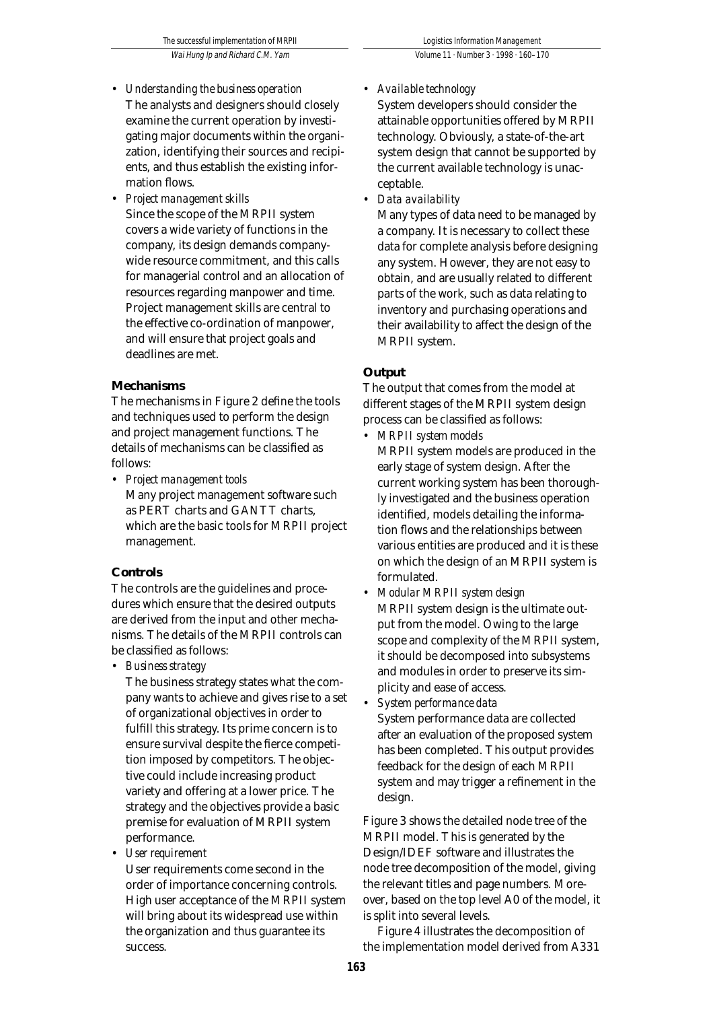- *Understanding the business operation* The analysts and designers should closely examine the current operation by investigating major documents within the organization, identifying their sources and recipients, and thus establish the existing information flows.
- *Project management skills*
- Since the scope of the MRPII system covers a wide variety of functions in the company, its design demands companywide resource commitment, and this calls for managerial control and an allocation of resources regarding manpower and time. Project management skills are central to the effective co-ordination of manpower, and will ensure that project goals and deadlines are met.

# **Mechanisms**

The mechanisms in Figure 2 define the tools and techniques used to perform the design and project management functions. The details of mechanisms can be classified as follows:

• *Project management tools* Many project management software such as PERT charts and GANTT charts, which are the basic tools for MRPII project management.

### **Controls**

The controls are the guidelines and procedures which ensure that the desired outputs are derived from the input and other mechanisms. The details of the MRPII controls can be classified as follows:

• *Business strategy*

The business strategy states what the company wants to achieve and gives rise to a set of organizational objectives in order to fulfill this strategy. Its prime concern is to ensure survival despite the fierce competition imposed by competitors. The objective could include increasing product variety and offering at a lower price. The strategy and the objectives provide a basic premise for evaluation of MRPII system performance.

• *User requirement*

User requirements come second in the order of importance concerning controls. High user acceptance of the MRPII system will bring about its widespread use within the organization and thus guarantee its success.

System developers should consider the attainable opportunities offered by MRPII technology. Obviously, a state-of-the-art system design that cannot be supported by the current available technology is unacceptable.

• *Data availability*

Many types of data need to be managed by a company. It is necessary to collect these data for complete analysis before designing any system. However, they are not easy to obtain, and are usually related to different parts of the work, such as data relating to inventory and purchasing operations and their availability to affect the design of the MRPII system.

# **Output**

The output that comes from the model at different stages of the MRPII system design process can be classified as follows:

• *MRPII system models*

MRPII system models are produced in the early stage of system design. After the current working system has been thoroughly investigated and the business operation identified, models detailing the information flows and the relationships between various entities are produced and it is these on which the design of an MRPII system is formulated.

- *Modular MRPII system design* MRPII system design is the ultimate output from the model. Owing to the large scope and complexity of the MRPII system, it should be decomposed into subsystems and modules in order to preserve its simplicity and ease of access.
- *System performance data* System performance data are collected after an evaluation of the proposed system has been completed. This output provides feedback for the design of each MRPII system and may trigger a refinement in the design.

Figure 3 shows the detailed node tree of the MRPII model. This is generated by the Design/IDEF software and illustrates the node tree decomposition of the model, giving the relevant titles and page numbers. Moreover, based on the top level A0 of the model, it is split into several levels.

Figure 4 illustrates the decomposition of the implementation model derived from A331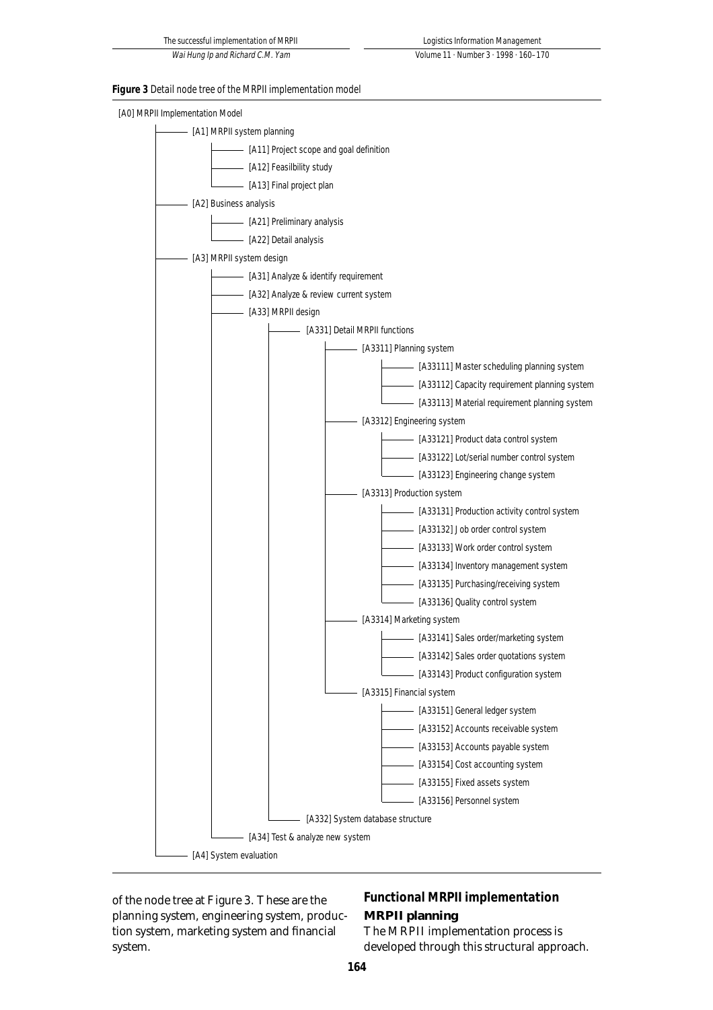#### Volume 11 · Number 3 · 1998 · 160–170

#### **Figure 3** Detail node tree of the MRPII implementation model



of the node tree at Figure 3. These are the planning system, engineering system, production system, marketing system and financial system.

# **Functional MRPII implementation MRPII planning**

The MRPII implementation process is developed through this structural approach.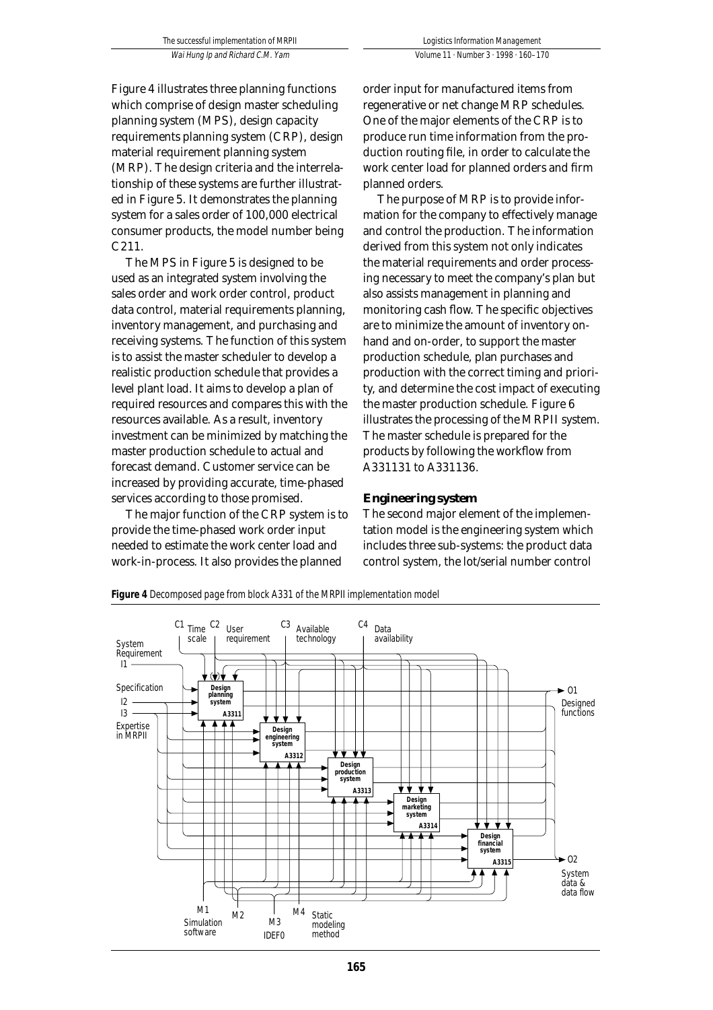Figure 4 illustrates three planning functions which comprise of design master scheduling planning system (MPS), design capacity requirements planning system (CRP), design material requirement planning system (MRP). The design criteria and the interrelationship of these systems are further illustrated in Figure 5. It demonstrates the planning system for a sales order of 100,000 electrical consumer products, the model number being C211.

The MPS in Figure 5 is designed to be used as an integrated system involving the sales order and work order control, product data control, material requirements planning, inventory management, and purchasing and receiving systems. The function of this system is to assist the master scheduler to develop a realistic production schedule that provides a level plant load. It aims to develop a plan of required resources and compares this with the resources available. As a result, inventory investment can be minimized by matching the master production schedule to actual and forecast demand. Customer service can be increased by providing accurate, time-phased services according to those promised.

The major function of the CRP system is to provide the time-phased work order input needed to estimate the work center load and work-in-process. It also provides the planned

order input for manufactured items from regenerative or net change MRP schedules. One of the major elements of the CRP is to produce run time information from the production routing file, in order to calculate the work center load for planned orders and firm planned orders.

The purpose of MRP is to provide information for the company to effectively manage and control the production. The information derived from this system not only indicates the material requirements and order processing necessary to meet the company's plan but also assists management in planning and monitoring cash flow. The specific objectives are to minimize the amount of inventory onhand and on-order, to support the master production schedule, plan purchases and production with the correct timing and priority, and determine the cost impact of executing the master production schedule. Figure 6 illustrates the processing of the MRPII system. The master schedule is prepared for the products by following the workflow from A331131 to A331136.

### **Engineering system**

The second major element of the implementation model is the engineering system which includes three sub-systems: the product data control system, the lot/serial number control

**Figure 4** Decomposed page from block A331 of the MRPII implementation model

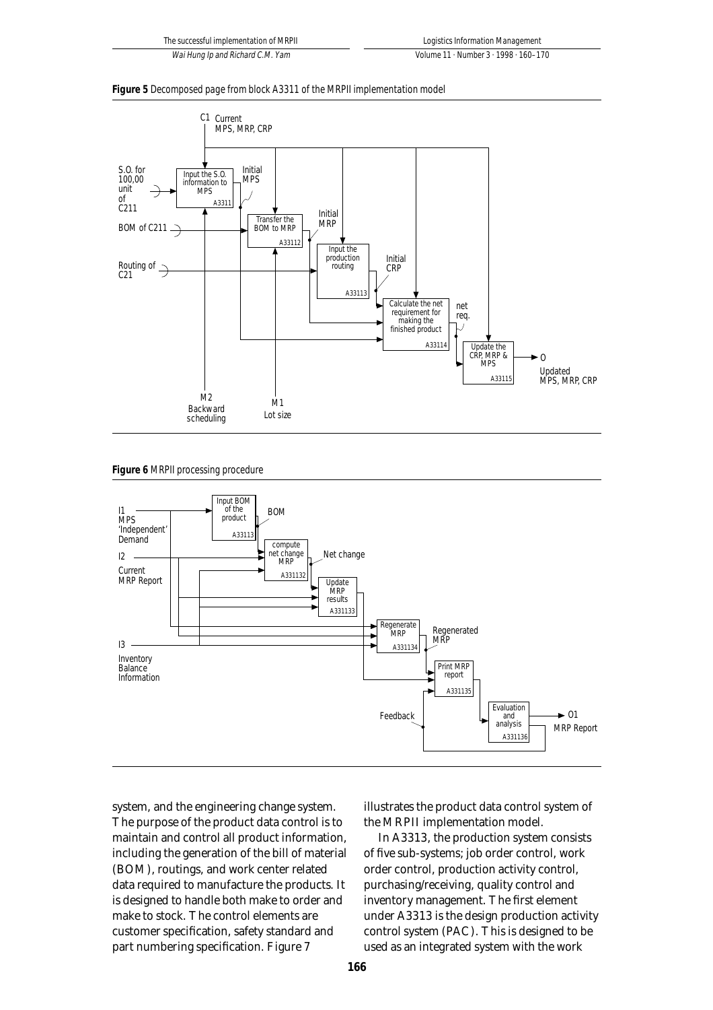Volume 11 · Number 3 · 1998 · 160–170

**Figure 5** Decomposed page from block A3311 of the MRPII implementation model



**Figure 6** MRPII processing procedure



system, and the engineering change system. The purpose of the product data control is to maintain and control all product information, including the generation of the bill of material (BOM), routings, and work center related data required to manufacture the products. It is designed to handle both make to order and make to stock. The control elements are customer specification, safety standard and part numbering specification. Figure 7

illustrates the product data control system of the MRPII implementation model.

In A3313, the production system consists of five sub-systems; job order control, work order control, production activity control, purchasing/receiving, quality control and inventory management. The first element under A3313 is the design production activity control system (PAC). This is designed to be used as an integrated system with the work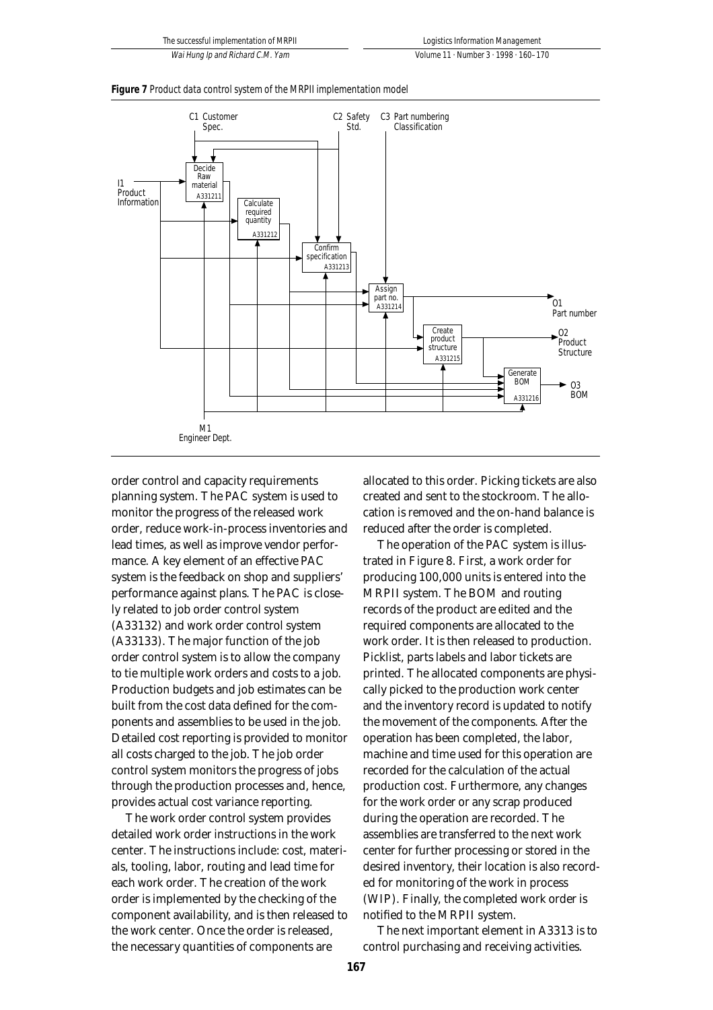**Figure 7** Product data control system of the MRPII implementation model



order control and capacity requirements planning system. The PAC system is used to monitor the progress of the released work order, reduce work-in-process inventories and lead times, as well as improve vendor performance. A key element of an effective PAC system is the feedback on shop and suppliers' performance against plans. The PAC is closely related to job order control system (A33132) and work order control system (A33133). The major function of the job order control system is to allow the company to tie multiple work orders and costs to a job. Production budgets and job estimates can be built from the cost data defined for the components and assemblies to be used in the job. Detailed cost reporting is provided to monitor all costs charged to the job. The job order control system monitors the progress of jobs through the production processes and, hence, provides actual cost variance reporting.

The work order control system provides detailed work order instructions in the work center. The instructions include: cost, materials, tooling, labor, routing and lead time for each work order. The creation of the work order is implemented by the checking of the component availability, and is then released to the work center. Once the order is released, the necessary quantities of components are

allocated to this order. Picking tickets are also created and sent to the stockroom. The allocation is removed and the on-hand balance is reduced after the order is completed.

The operation of the PAC system is illustrated in Figure 8. First, a work order for producing 100,000 units is entered into the MRPII system. The BOM and routing records of the product are edited and the required components are allocated to the work order. It is then released to production. Picklist, parts labels and labor tickets are printed. The allocated components are physically picked to the production work center and the inventory record is updated to notify the movement of the components. After the operation has been completed, the labor, machine and time used for this operation are recorded for the calculation of the actual production cost. Furthermore, any changes for the work order or any scrap produced during the operation are recorded. The assemblies are transferred to the next work center for further processing or stored in the desired inventory, their location is also recorded for monitoring of the work in process (WIP). Finally, the completed work order is notified to the MRPII system.

The next important element in A3313 is to control purchasing and receiving activities.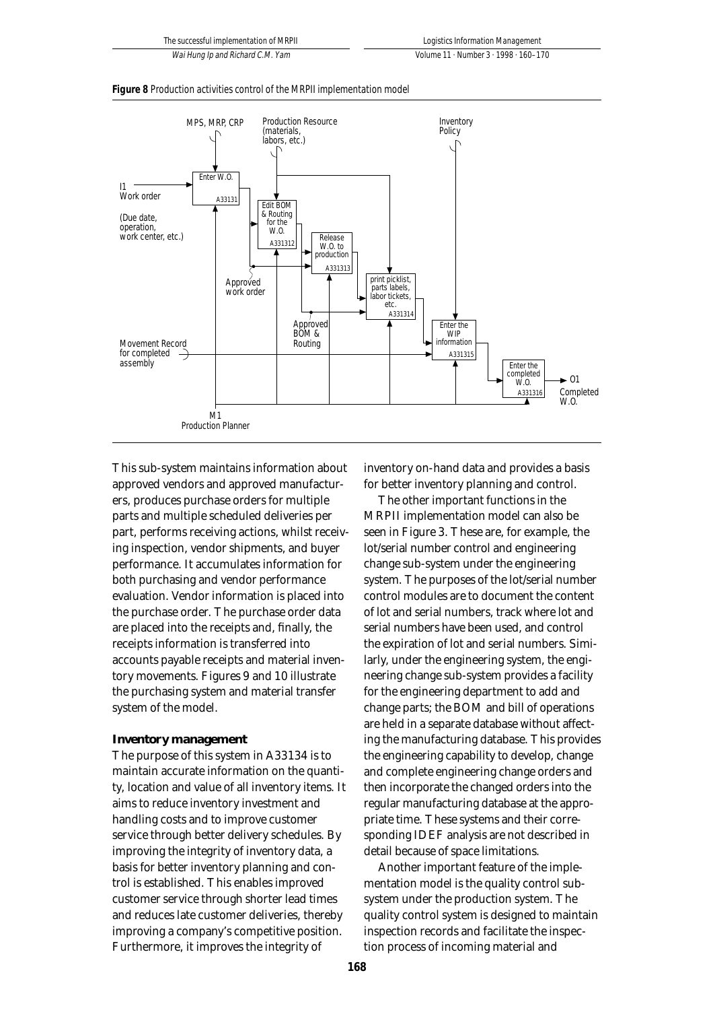#### Volume 11 · Number 3 · 1998 · 160–170

**Figure 8** Production activities control of the MRPII implementation model



This sub-system maintains information about approved vendors and approved manufacturers, produces purchase orders for multiple parts and multiple scheduled deliveries per part, performs receiving actions, whilst receiving inspection, vendor shipments, and buyer performance. It accumulates information for both purchasing and vendor performance evaluation. Vendor information is placed into the purchase order. The purchase order data are placed into the receipts and, finally, the receipts information is transferred into accounts payable receipts and material inventory movements. Figures 9 and 10 illustrate the purchasing system and material transfer system of the model.

### **Inventory management**

The purpose of this system in A33134 is to maintain accurate information on the quantity, location and value of all inventory items. It aims to reduce inventory investment and handling costs and to improve customer service through better delivery schedules. By improving the integrity of inventory data, a basis for better inventory planning and control is established. This enables improved customer service through shorter lead times and reduces late customer deliveries, thereby improving a company's competitive position. Furthermore, it improves the integrity of

inventory on-hand data and provides a basis for better inventory planning and control.

The other important functions in the MRPII implementation model can also be seen in Figure 3. These are, for example, the lot/serial number control and engineering change sub-system under the engineering system. The purposes of the lot/serial number control modules are to document the content of lot and serial numbers, track where lot and serial numbers have been used, and control the expiration of lot and serial numbers. Similarly, under the engineering system, the engineering change sub-system provides a facility for the engineering department to add and change parts; the BOM and bill of operations are held in a separate database without affecting the manufacturing database. This provides the engineering capability to develop, change and complete engineering change orders and then incorporate the changed orders into the regular manufacturing database at the appropriate time. These systems and their corresponding IDEF analysis are not described in detail because of space limitations.

Another important feature of the implementation model is the quality control subsystem under the production system. The quality control system is designed to maintain inspection records and facilitate the inspection process of incoming material and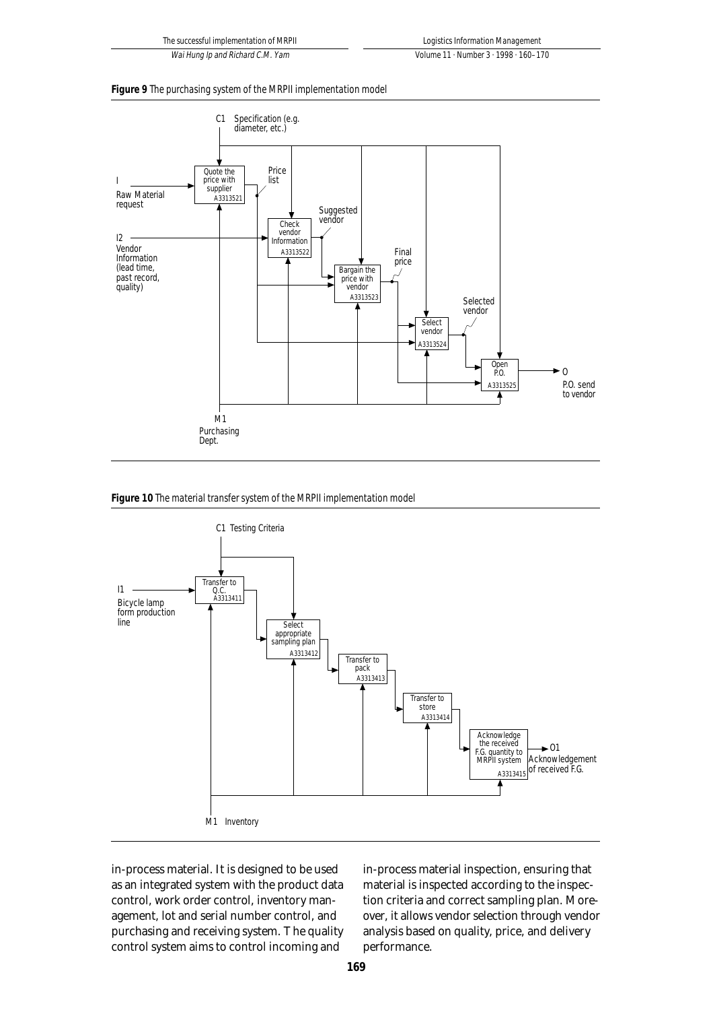#### Volume 11 · Number 3 · 1998 · 160–170





#### **Figure 10** The material transfer system of the MRPII implementation model



in-process material. It is designed to be used as an integrated system with the product data control, work order control, inventory management, lot and serial number control, and purchasing and receiving system. The quality control system aims to control incoming and

in-process material inspection, ensuring that material is inspected according to the inspection criteria and correct sampling plan. Moreover, it allows vendor selection through vendor analysis based on quality, price, and delivery performance.